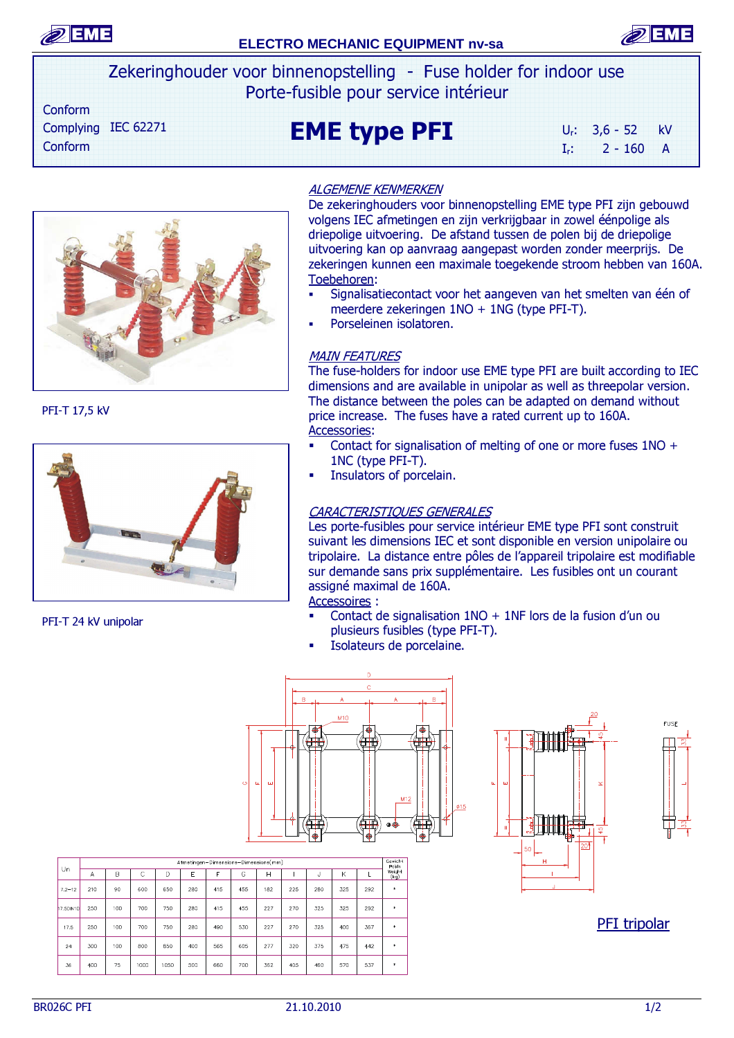

# **ELECTRO MECHANIC EQUIPMENT nv-sa**



Zekeringhouder voor binnenopstelling - Fuse holder for indoor use Porte-fusible pour service intérieur

 Conform Complying IEC 62271 Conform

EME type PFI

Ur: 3,6 - 52 kV  $I_r$ : 2 - 160 A



PFI-T 17,5 kV



PFI-T 24 kV unipolar

### ALGEMENE KENMERKEN

De zekeringhouders voor binnenopstelling EME type PFI zijn gebouwd volgens IEC afmetingen en zijn verkrijgbaar in zowel éénpolige als driepolige uitvoering. De afstand tussen de polen bij de driepolige uitvoering kan op aanvraag aangepast worden zonder meerprijs. De zekeringen kunnen een maximale toegekende stroom hebben van 160A. Toebehoren:

- Signalisatiecontact voor het aangeven van het smelten van één of meerdere zekeringen 1NO + 1NG (type PFI-T).
- Porseleinen isolatoren.

#### **MAIN FEATURES**

The fuse-holders for indoor use EME type PFI are built according to IEC dimensions and are available in unipolar as well as threepolar version. The distance between the poles can be adapted on demand without price increase. The fuses have a rated current up to 160A. Accessories:

- Contact for signalisation of melting of one or more fuses 1NO + 1NC (type PFI-T).
- Insulators of porcelain.

### CARACTERISTIQUES GENERALES

Les porte-fusibles pour service intérieur EME type PFI sont construit suivant les dimensions IEC et sont disponible en version unipolaire ou tripolaire. La distance entre pôles de l'appareil tripolaire est modifiable sur demande sans prix supplémentaire. Les fusibles ont un courant assigné maximal de 160A.

Accessoires :

- Contact de signalisation  $1NO + 1NF$  lors de la fusion d'un ou plusieurs fusibles (type PFI-T).
- Isolateurs de porcelaine.





PFI tripolar

|            | Afmetingen-Dimensions-Dimensions(mm) |     |      |      |     |     |     |     |     |     |     |     | Gewicht<br>Poids |
|------------|--------------------------------------|-----|------|------|-----|-----|-----|-----|-----|-----|-----|-----|------------------|
| Un         | Α                                    | B   | C    | D    | E   | F   | G   | Н   |     | J   | K   |     | Weight<br>(kq)   |
| $7.2 - 12$ | 210                                  | 90  | 600  | 650  | 280 | 415 | 455 | 182 | 225 | 280 | 325 | 292 | $\star$          |
| 17.5DIN10  | 250                                  | 100 | 700  | 750  | 280 | 415 | 455 | 227 | 270 | 325 | 325 | 292 | $\ast$           |
| 17.5       | 250                                  | 100 | 700  | 750  | 280 | 490 | 530 | 227 | 270 | 325 | 400 | 367 | $\ast$           |
| 24         | 300                                  | 100 | 800  | 850  | 400 | 565 | 605 | 277 | 320 | 375 | 475 | 442 | $\ast$           |
| 36         | 400                                  | 75  | 1000 | 1050 | 500 | 660 | 700 | 362 | 405 | 460 | 570 | 537 | $\ast$           |